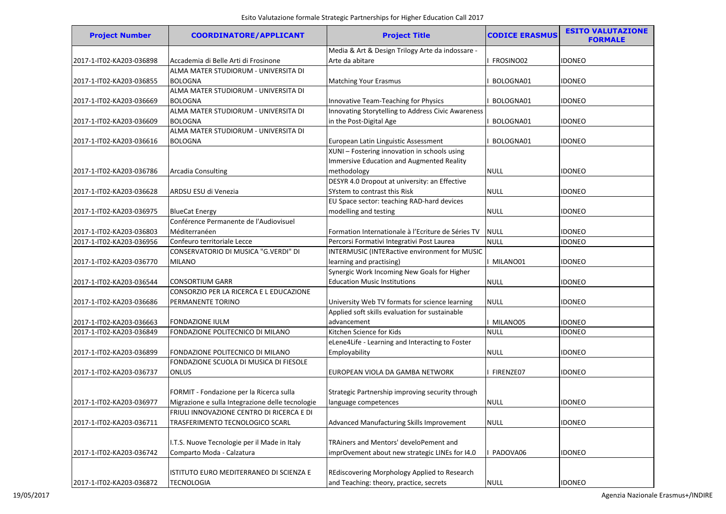| <b>Project Number</b>    | <b>COORDINATORE/APPLICANT</b>                    | <b>Project Title</b>                               | <b>CODICE ERASMUS</b> | <b>ESITO VALUTAZIONE</b><br><b>FORMALE</b> |
|--------------------------|--------------------------------------------------|----------------------------------------------------|-----------------------|--------------------------------------------|
|                          |                                                  | Media & Art & Design Trilogy Arte da indossare -   |                       |                                            |
| 2017-1-IT02-KA203-036898 | Accademia di Belle Arti di Frosinone             | Arte da abitare                                    | FROSINO02             | <b>IDONEO</b>                              |
|                          | ALMA MATER STUDIORUM - UNIVERSITA DI             |                                                    |                       |                                            |
| 2017-1-IT02-KA203-036855 | <b>BOLOGNA</b>                                   | <b>Matching Your Erasmus</b>                       | BOLOGNA01             | <b>IDONEO</b>                              |
|                          | ALMA MATER STUDIORUM - UNIVERSITA DI             |                                                    |                       |                                            |
| 2017-1-IT02-KA203-036669 | <b>BOLOGNA</b>                                   | Innovative Team-Teaching for Physics               | BOLOGNA01             | idoneo                                     |
|                          | ALMA MATER STUDIORUM - UNIVERSITA DI             | Innovating Storytelling to Address Civic Awareness |                       |                                            |
| 2017-1-IT02-KA203-036609 | <b>BOLOGNA</b>                                   | in the Post-Digital Age                            | BOLOGNA01             | <b>IDONEO</b>                              |
|                          | ALMA MATER STUDIORUM - UNIVERSITA DI             |                                                    |                       |                                            |
| 2017-1-IT02-KA203-036616 | <b>BOLOGNA</b>                                   | European Latin Linguistic Assessment               | BOLOGNA01             | idoneo                                     |
|                          |                                                  | XUNI - Fostering innovation in schools using       |                       |                                            |
|                          |                                                  | Immersive Education and Augmented Reality          |                       |                                            |
| 2017-1-IT02-KA203-036786 | <b>Arcadia Consulting</b>                        | methodology                                        | <b>NULL</b>           | <b>IDONEO</b>                              |
|                          |                                                  | DESYR 4.0 Dropout at university: an Effective      |                       |                                            |
| 2017-1-IT02-KA203-036628 | ARDSU ESU di Venezia                             | SYstem to contrast this Risk                       | <b>NULL</b>           | <b>IDONEO</b>                              |
|                          |                                                  | EU Space sector: teaching RAD-hard devices         |                       |                                            |
| 2017-1-IT02-KA203-036975 | <b>BlueCat Energy</b>                            | modelling and testing                              | <b>NULL</b>           | <b>IDONEO</b>                              |
|                          | Conférence Permanente de l'Audiovisuel           |                                                    |                       |                                            |
| 2017-1-IT02-KA203-036803 | Méditerranéen                                    | Formation Internationale à l'Ecriture de Séries TV | <b>NULL</b>           | idoneo                                     |
| 2017-1-IT02-KA203-036956 | Confeuro territoriale Lecce                      | Percorsi Formativi Integrativi Post Laurea         | <b>NULL</b>           | <b>IDONEO</b>                              |
|                          | CONSERVATORIO DI MUSICA "G.VERDI" DI             | INTERMUSIC (INTERactive environment for MUSIC      |                       |                                            |
| 2017-1-IT02-KA203-036770 | <b>MILANO</b>                                    | learning and practising)                           | MILANO01              | idoneo                                     |
|                          |                                                  | Synergic Work Incoming New Goals for Higher        |                       |                                            |
| 2017-1-IT02-KA203-036544 | <b>CONSORTIUM GARR</b>                           | <b>Education Music Institutions</b>                | <b>NULL</b>           | <b>IDONEO</b>                              |
|                          | CONSORZIO PER LA RICERCA E L EDUCAZIONE          |                                                    |                       |                                            |
| 2017-1-IT02-KA203-036686 | PERMANENTE TORINO                                | University Web TV formats for science learning     | <b>NULL</b>           | <b>IDONEO</b>                              |
|                          |                                                  | Applied soft skills evaluation for sustainable     |                       |                                            |
| 2017-1-IT02-KA203-036663 | <b>FONDAZIONE IULM</b>                           | advancement                                        | MILANO05              | <b>IDONEO</b>                              |
| 2017-1-IT02-KA203-036849 | FONDAZIONE POLITECNICO DI MILANO                 | Kitchen Science for Kids                           | <b>NULL</b>           | <b>IDONEO</b>                              |
|                          |                                                  | eLene4Life - Learning and Interacting to Foster    |                       |                                            |
| 2017-1-IT02-KA203-036899 | FONDAZIONE POLITECNICO DI MILANO                 | Employability                                      | <b>NULL</b>           | <b>IDONEO</b>                              |
|                          | FONDAZIONE SCUOLA DI MUSICA DI FIESOLE           |                                                    |                       |                                            |
| 2017-1-IT02-KA203-036737 | <b>ONLUS</b>                                     | EUROPEAN VIOLA DA GAMBA NETWORK                    | FIRENZE07             | <b>IDONEO</b>                              |
|                          |                                                  |                                                    |                       |                                            |
|                          | FORMIT - Fondazione per la Ricerca sulla         | Strategic Partnership improving security through   |                       |                                            |
| 2017-1-IT02-KA203-036977 | Migrazione e sulla Integrazione delle tecnologie | language competences                               | <b>NULL</b>           | <b>IDONEO</b>                              |
|                          | FRIULI INNOVAZIONE CENTRO DI RICERCA E DI        |                                                    |                       |                                            |
| 2017-1-IT02-KA203-036711 | TRASFERIMENTO TECNOLOGICO SCARL                  | Advanced Manufacturing Skills Improvement          | <b>NULL</b>           | <b>IDONEO</b>                              |
|                          |                                                  |                                                    |                       |                                            |
|                          | I.T.S. Nuove Tecnologie per il Made in Italy     | TRAiners and Mentors' develoPement and             |                       |                                            |
| 2017-1-IT02-KA203-036742 | Comparto Moda - Calzatura                        | imprOvement about new strategic LINEs for I4.0     | PADOVA06              | <b>IDONEO</b>                              |
|                          |                                                  |                                                    |                       |                                            |
|                          | ISTITUTO EURO MEDITERRANEO DI SCIENZA E          | REdiscovering Morphology Applied to Research       |                       |                                            |
| 2017-1-IT02-KA203-036872 | TECNOLOGIA                                       | and Teaching: theory, practice, secrets            | <b>NULL</b>           | <b>IDONEO</b>                              |
|                          |                                                  |                                                    |                       |                                            |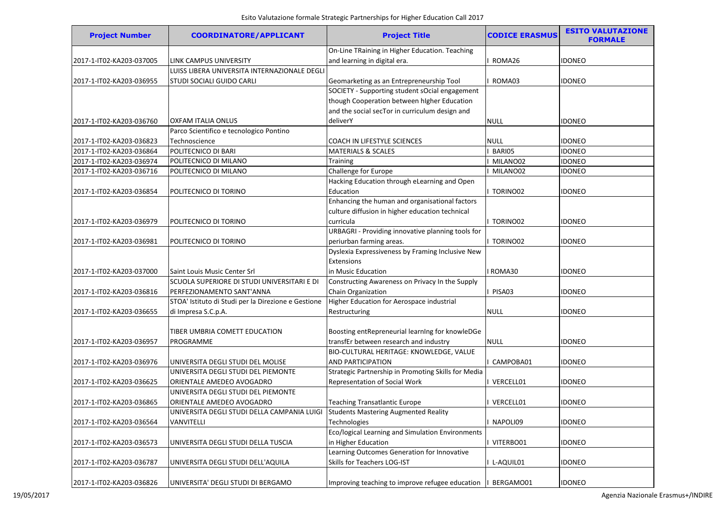| <b>Project Number</b>    | <b>COORDINATORE/APPLICANT</b>                       | <b>Project Title</b>                                | <b>CODICE ERASMUS</b> | <b>ESITO VALUTAZIONE</b><br><b>FORMALE</b> |
|--------------------------|-----------------------------------------------------|-----------------------------------------------------|-----------------------|--------------------------------------------|
|                          |                                                     | On-Line TRaining in Higher Education. Teaching      |                       |                                            |
| 2017-1-IT02-KA203-037005 | LINK CAMPUS UNIVERSITY                              | and learning in digital era.                        | ROMA26                | <b>IDONEO</b>                              |
|                          | LUISS LIBERA UNIVERSITA INTERNAZIONALE DEGLI        |                                                     |                       |                                            |
| 2017-1-IT02-KA203-036955 | STUDI SOCIALI GUIDO CARLI                           | Geomarketing as an Entrepreneurship Tool            | ROMA03                | <b>IDONEO</b>                              |
|                          |                                                     | SOCIETY - Supporting student sOcial engagement      |                       |                                            |
|                          |                                                     | though Cooperation between higher Education         |                       |                                            |
|                          |                                                     | and the social secTor in curriculum design and      |                       |                                            |
| 2017-1-IT02-KA203-036760 | OXFAM ITALIA ONLUS                                  | deliverY                                            | <b>NULL</b>           | <b>IDONEO</b>                              |
|                          | Parco Scientifico e tecnologico Pontino             |                                                     |                       |                                            |
| 2017-1-IT02-KA203-036823 | Technoscience                                       | COACH IN LIFESTYLE SCIENCES                         | NULL                  | <b>IDONEO</b>                              |
| 2017-1-IT02-KA203-036864 | POLITECNICO DI BARI                                 | <b>MATERIALS &amp; SCALES</b>                       | BARI05                | <b>IDONEO</b>                              |
| 2017-1-IT02-KA203-036974 | POLITECNICO DI MILANO                               | <b>Training</b>                                     | MILANO02              | <b>IDONEO</b>                              |
| 2017-1-IT02-KA203-036716 | POLITECNICO DI MILANO                               | Challenge for Europe                                | MILANO02              | <b>IDONEO</b>                              |
|                          |                                                     | Hacking Education through eLearning and Open        |                       |                                            |
| 2017-1-IT02-KA203-036854 | POLITECNICO DI TORINO                               | Education                                           | TORINO02              | <b>IDONEO</b>                              |
|                          |                                                     | Enhancing the human and organisational factors      |                       |                                            |
|                          |                                                     | culture diffusion in higher education technical     |                       |                                            |
| 2017-1-IT02-KA203-036979 | POLITECNICO DI TORINO                               | curricula                                           | I TORINO02            | <b>IDONEO</b>                              |
|                          |                                                     | URBAGRI - Providing innovative planning tools for   |                       |                                            |
| 2017-1-IT02-KA203-036981 | POLITECNICO DI TORINO                               | periurban farming areas.                            | TORINO02              | <b>IDONEO</b>                              |
|                          |                                                     | Dyslexia Expressiveness by Framing Inclusive New    |                       |                                            |
|                          |                                                     | Extensions                                          |                       |                                            |
| 2017-1-IT02-KA203-037000 | Saint Louis Music Center Srl                        | in Music Education                                  | I ROMA30              | <b>IDONEO</b>                              |
|                          | SCUOLA SUPERIORE DI STUDI UNIVERSITARI E DI         | Constructing Awareness on Privacy In the Supply     |                       |                                            |
| 2017-1-IT02-KA203-036816 | PERFEZIONAMENTO SANT'ANNA                           | Chain Organization                                  | PISA03                | <b>IDONEO</b>                              |
|                          | STOA' Istituto di Studi per la Direzione e Gestione | Higher Education for Aerospace industrial           |                       |                                            |
| 2017-1-IT02-KA203-036655 | di Impresa S.C.p.A.                                 | Restructuring                                       | <b>NULL</b>           | <b>IDONEO</b>                              |
|                          |                                                     |                                                     |                       |                                            |
|                          | TIBER UMBRIA COMETT EDUCATION                       | Boosting entRepreneurial learning for knowleDGe     |                       |                                            |
| 2017-1-IT02-KA203-036957 | PROGRAMME                                           | transfEr between research and industry              | <b>NULL</b>           | <b>IDONEO</b>                              |
|                          |                                                     | BIO-CULTURAL HERITAGE: KNOWLEDGE, VALUE             |                       |                                            |
| 2017-1-IT02-KA203-036976 | UNIVERSITA DEGLI STUDI DEL MOLISE                   | AND PARTICIPATION                                   | CAMPOBA01             | <b>IDONEO</b>                              |
|                          | UNIVERSITA DEGLI STUDI DEL PIEMONTE                 | Strategic Partnership in Promoting Skills for Media |                       |                                            |
| 2017-1-IT02-KA203-036625 | ORIENTALE AMEDEO AVOGADRO                           | Representation of Social Work                       | VERCELL01             | <b>IDONEO</b>                              |
|                          | UNIVERSITA DEGLI STUDI DEL PIEMONTE                 |                                                     |                       |                                            |
| 2017-1-IT02-KA203-036865 | ORIENTALE AMEDEO AVOGADRO                           | <b>Teaching Transatlantic Europe</b>                | VERCELL01             | <b>IDONEO</b>                              |
|                          | UNIVERSITA DEGLI STUDI DELLA CAMPANIA LUIGI         | Students Mastering Augmented Reality                |                       |                                            |
| 2017-1-IT02-KA203-036564 | VANVITELLI                                          | Technologies                                        | NAPOLI09              | <b>IDONEO</b>                              |
|                          |                                                     | Eco/logical Learning and Simulation Environments    |                       |                                            |
| 2017-1-IT02-KA203-036573 | UNIVERSITA DEGLI STUDI DELLA TUSCIA                 | in Higher Education                                 | VITERBO01             | <b>IDONEO</b>                              |
|                          |                                                     | Learning Outcomes Generation for Innovative         |                       |                                            |
| 2017-1-IT02-KA203-036787 | UNIVERSITA DEGLI STUDI DELL'AQUILA                  | Skills for Teachers LOG-IST                         | L-AQUIL01             | <b>IDONEO</b>                              |
|                          |                                                     |                                                     |                       |                                            |
| 2017-1-IT02-KA203-036826 | UNIVERSITA' DEGLI STUDI DI BERGAMO                  | Improving teaching to improve refugee education     | BERGAMO01             | <b>IDONEO</b>                              |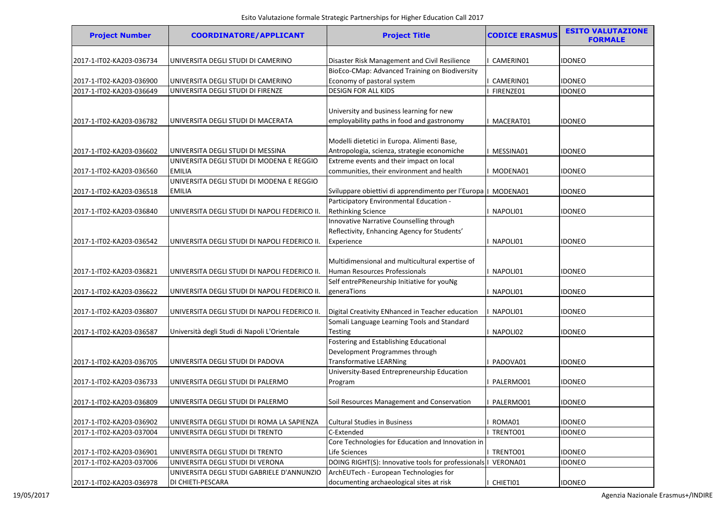| <b>Project Number</b>    | <b>COORDINATORE/APPLICANT</b>                 | <b>Project Title</b>                                          | <b>CODICE ERASMUS</b> | <b>ESITO VALUTAZIONE</b><br><b>FORMALE</b> |
|--------------------------|-----------------------------------------------|---------------------------------------------------------------|-----------------------|--------------------------------------------|
| 2017-1-IT02-KA203-036734 | UNIVERSITA DEGLI STUDI DI CAMERINO            | Disaster Risk Management and Civil Resilience                 | CAMERIN01             | <b>IDONEO</b>                              |
|                          |                                               | BioEco-CMap: Advanced Training on Biodiversity                |                       |                                            |
| 2017-1-IT02-KA203-036900 | UNIVERSITA DEGLI STUDI DI CAMERINO            | Economy of pastoral system                                    | CAMERIN01             | <b>IDONEO</b>                              |
| 2017-1-IT02-KA203-036649 | UNIVERSITA DEGLI STUDI DI FIRENZE             | <b>DESIGN FOR ALL KIDS</b>                                    | FIRENZE01             | <b>IDONEO</b>                              |
|                          |                                               |                                                               |                       |                                            |
|                          |                                               | University and business learning for new                      |                       |                                            |
| 2017-1-IT02-KA203-036782 | UNIVERSITA DEGLI STUDI DI MACERATA            | employability paths in food and gastronomy                    | I MACERAT01           | <b>IDONEO</b>                              |
|                          |                                               |                                                               |                       |                                            |
|                          |                                               | Modelli dietetici in Europa. Alimenti Base,                   |                       |                                            |
| 2017-1-IT02-KA203-036602 | UNIVERSITA DEGLI STUDI DI MESSINA             | Antropologia, scienza, strategie economiche                   | MESSINA01             | <b>IDONEO</b>                              |
|                          | UNIVERSITA DEGLI STUDI DI MODENA E REGGIO     | Extreme events and their impact on local                      |                       |                                            |
| 2017-1-IT02-KA203-036560 | <b>EMILIA</b>                                 | communities, their environment and health                     | MODENA01              | <b>IDONEO</b>                              |
|                          | UNIVERSITA DEGLI STUDI DI MODENA E REGGIO     |                                                               |                       |                                            |
| 2017-1-IT02-KA203-036518 | EMILIA                                        | Sviluppare obiettivi di apprendimento per l'Europa   MODENA01 |                       | <b>IDONEO</b>                              |
|                          |                                               | Participatory Environmental Education -                       |                       |                                            |
| 2017-1-IT02-KA203-036840 | UNIVERSITA DEGLI STUDI DI NAPOLI FEDERICO II. | Rethinking Science                                            | I NAPOLI01            | <b>IDONEO</b>                              |
|                          |                                               | Innovative Narrative Counselling through                      |                       |                                            |
|                          |                                               | Reflectivity, Enhancing Agency for Students'                  |                       |                                            |
| 2017-1-IT02-KA203-036542 | UNIVERSITA DEGLI STUDI DI NAPOLI FEDERICO II. | Experience                                                    | I NAPOLI01            | <b>IDONEO</b>                              |
|                          |                                               |                                                               |                       |                                            |
|                          |                                               | Multidimensional and multicultural expertise of               |                       |                                            |
| 2017-1-IT02-KA203-036821 | UNIVERSITA DEGLI STUDI DI NAPOLI FEDERICO II. | Human Resources Professionals                                 | I NAPOLI01            | <b>IDONEO</b>                              |
|                          |                                               | Self entrePReneurship Initiative for youNg                    |                       |                                            |
| 2017-1-IT02-KA203-036622 | UNIVERSITA DEGLI STUDI DI NAPOLI FEDERICO II. | generaTions                                                   | I NAPOLI01            | <b>IDONEO</b>                              |
|                          |                                               |                                                               |                       |                                            |
| 2017-1-IT02-KA203-036807 | UNIVERSITA DEGLI STUDI DI NAPOLI FEDERICO II. | Digital Creativity ENhanced in Teacher education              | NAPOLI01              | <b>IDONEO</b>                              |
|                          |                                               | Somali Language Learning Tools and Standard                   |                       |                                            |
| 2017-1-IT02-KA203-036587 | Università degli Studi di Napoli L'Orientale  | <b>Testing</b>                                                | NAPOLI02              | <b>IDONEO</b>                              |
|                          |                                               | Fostering and Establishing Educational                        |                       |                                            |
|                          |                                               | Development Programmes through                                |                       |                                            |
| 2017-1-IT02-KA203-036705 | UNIVERSITA DEGLI STUDI DI PADOVA              | <b>Transformative LEARNing</b>                                | PADOVA01              | <b>IDONEO</b>                              |
|                          |                                               | University-Based Entrepreneurship Education                   |                       |                                            |
| 2017-1-IT02-KA203-036733 | UNIVERSITA DEGLI STUDI DI PALERMO             | Program                                                       | PALERMO01             | <b>IDONEO</b>                              |
|                          |                                               |                                                               |                       |                                            |
| 2017-1-IT02-KA203-036809 | UNIVERSITA DEGLI STUDI DI PALERMO             | Soil Resources Management and Conservation                    | PALERMO01             | <b>IDONEO</b>                              |
|                          |                                               |                                                               |                       |                                            |
| 2017-1-IT02-KA203-036902 | UNIVERSITA DEGLI STUDI DI ROMA LA SAPIENZA    | <b>Cultural Studies in Business</b>                           | ROMA01                | <b>IDONEO</b>                              |
| 2017-1-IT02-KA203-037004 | UNIVERSITA DEGLI STUDI DI TRENTO              | C-Extended                                                    | TRENTO01              | <b>IDONEO</b>                              |
|                          |                                               | Core Technologies for Education and Innovation in             |                       |                                            |
| 2017-1-IT02-KA203-036901 | UNIVERSITA DEGLI STUDI DI TRENTO              | Life Sciences                                                 | I TRENTO01            | <b>IDONEO</b>                              |
| 2017-1-IT02-KA203-037006 | UNIVERSITA DEGLI STUDI DI VERONA              | DOING RIGHT(S): Innovative tools for professionals   VERONA01 |                       | <b>IDONEO</b>                              |
|                          | UNIVERSITA DEGLI STUDI GABRIELE D'ANNUNZIO    | ArchEUTech - European Technologies for                        |                       |                                            |
| 2017-1-IT02-KA203-036978 | DI CHIETI-PESCARA                             | documenting archaeological sites at risk                      | I CHIETI01            | <b>IDONEO</b>                              |